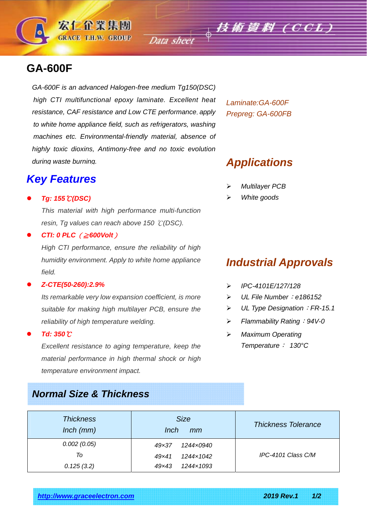# **GA-600F**

*GA-600F is an advanced Halogen-free medium Tg150(DSC) high CTI multifunctional epoxy laminate. Excellent heat resistance, CAF resistance and Low CTE performance*, *apply to white home appliance field, such as refrigerators, washing machines etc. Environmental-friendly material, absence of highly toxic dioxins, Antimony-free and no toxic evolution during waste burning.* 

宏仁企業集團 **GRACE T.H.W. GROUP** 

### *Key Features*

#### *Tg: 155*℃*(DSC)*

*This material with high performance multi-function resin, Tg values can reach above 150* ℃*(DSC).* 

*CTI: 0 PLC*(≧*600Volt*)

*High CTI performance, ensure the reliability of high humidity environment. Apply to white home appliance field.* 

#### *Z-CTE(50-260):2.9%*

*Its remarkable very low expansion coefficient, is more suitable for making high multilayer PCB, ensure the reliability of high temperature welding.* 

*Td: 350*℃

*Excellent resistance to aging temperature, keep the material performance in high thermal shock or high temperature environment impact.* 

### *Normal Size & Thickness*

*Laminate:GA-600F Prepreg: GA-600FB* 

Data sheet  $\phi$  **技術資料 (CCL)** 

### *Applications*

- *Multilayer PCB*
- *White goods*

## *Industrial Approvals*

- *IPC-4101E/127/128*
- *UL File Number*:*e186152*
- *UL Type Designation*:*FR-15.1*
- *Flammability Rating*:*94V-0*
- *Maximum Operating Temperature*: *130°C*

| <b>Thickness</b><br>$lnch$ ( $mm$ ) | <b>Size</b><br>Inch<br>mm   | <b>Thickness Tolerance</b> |  |
|-------------------------------------|-----------------------------|----------------------------|--|
| 0.002(0.05)                         | 1244x0940<br>$49 \times 37$ |                            |  |
| To                                  | 1244x1042<br>49x41          | IPC-4101 Class C/M         |  |
| 0.125(3.2)                          | 1244×1093<br>49x43          |                            |  |